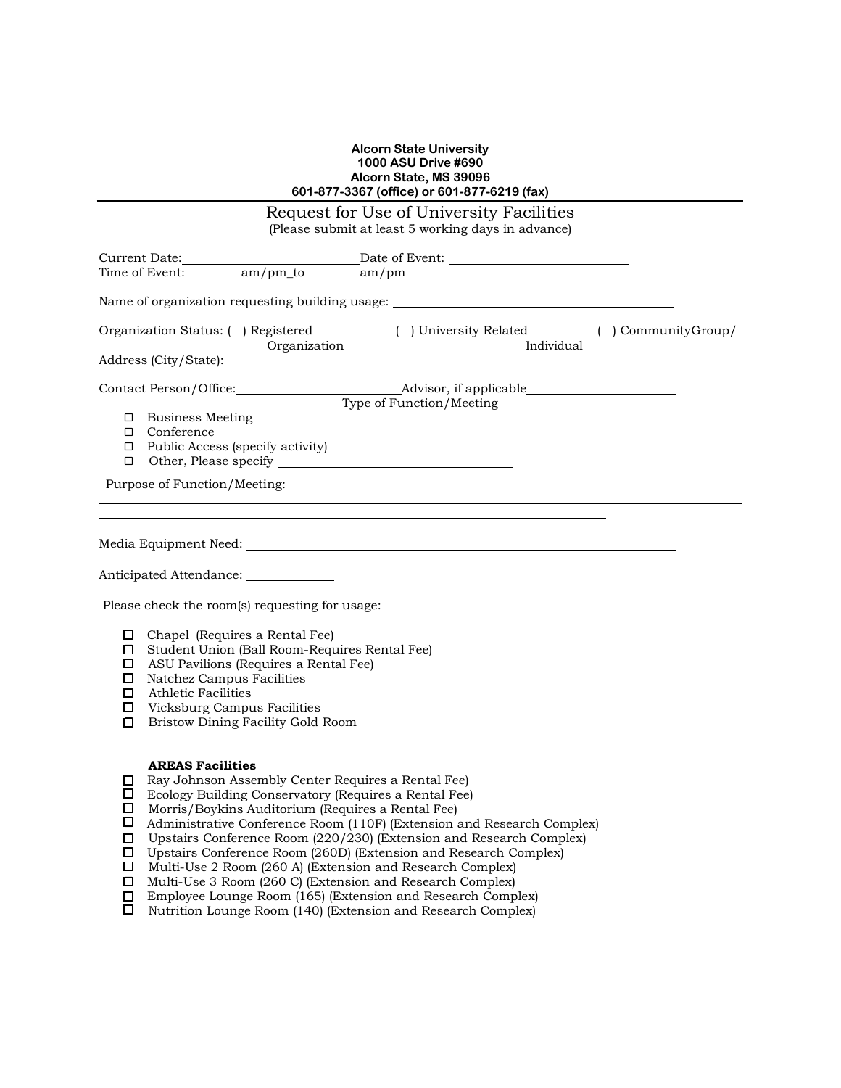## **Alcorn State University 1000 ASU Drive #690 Alcorn State, MS 39096 601-877-3367 (office) or 601-877-6219 (fax)**

| Request for Use of University Facilities<br>(Please submit at least 5 working days in advance) |                                                                                               |                                                                                                                                                                                                                                                                                                                                                                                                                                                                                                                                                                                                                                                |                                           |                          |  |  |  |  |
|------------------------------------------------------------------------------------------------|-----------------------------------------------------------------------------------------------|------------------------------------------------------------------------------------------------------------------------------------------------------------------------------------------------------------------------------------------------------------------------------------------------------------------------------------------------------------------------------------------------------------------------------------------------------------------------------------------------------------------------------------------------------------------------------------------------------------------------------------------------|-------------------------------------------|--------------------------|--|--|--|--|
| Time of Event: am/pm_to am/pm                                                                  |                                                                                               |                                                                                                                                                                                                                                                                                                                                                                                                                                                                                                                                                                                                                                                |                                           |                          |  |  |  |  |
|                                                                                                |                                                                                               |                                                                                                                                                                                                                                                                                                                                                                                                                                                                                                                                                                                                                                                |                                           |                          |  |  |  |  |
|                                                                                                |                                                                                               | Name of organization requesting building usage: ________________________________                                                                                                                                                                                                                                                                                                                                                                                                                                                                                                                                                               |                                           |                          |  |  |  |  |
| Organization Status: ( ) Registered<br>Organization                                            |                                                                                               |                                                                                                                                                                                                                                                                                                                                                                                                                                                                                                                                                                                                                                                | () University Related () Community Group/ | Individual               |  |  |  |  |
|                                                                                                |                                                                                               |                                                                                                                                                                                                                                                                                                                                                                                                                                                                                                                                                                                                                                                |                                           |                          |  |  |  |  |
|                                                                                                |                                                                                               |                                                                                                                                                                                                                                                                                                                                                                                                                                                                                                                                                                                                                                                |                                           |                          |  |  |  |  |
|                                                                                                | $\Box$ Business Meeting<br>□ Conference                                                       | $\Box$ Public Access (specify activity) $\Box$                                                                                                                                                                                                                                                                                                                                                                                                                                                                                                                                                                                                 |                                           | Type of Function/Meeting |  |  |  |  |
| Purpose of Function/Meeting:                                                                   |                                                                                               |                                                                                                                                                                                                                                                                                                                                                                                                                                                                                                                                                                                                                                                |                                           |                          |  |  |  |  |
| $\Box$<br>$\Box$                                                                               | $\Box$ Natchez Campus Facilities<br>Athletic Facilities<br>$\Box$ Vicksburg Campus Facilities | Anticipated Attendance: National Anticipated Attendance:<br>Please check the room(s) requesting for usage:<br>$\Box$ Chapel (Requires a Rental Fee)<br>□ Student Union (Ball Room-Requires Rental Fee)<br>$\Box$ ASU Pavilions (Requires a Rental Fee)<br>Bristow Dining Facility Gold Room                                                                                                                                                                                                                                                                                                                                                    |                                           |                          |  |  |  |  |
| □<br>□<br>0<br>$\Box$<br>□<br>$\Box$<br>П<br>□                                                 | <b>AREAS Facilities</b>                                                                       | Ray Johnson Assembly Center Requires a Rental Fee)<br>Ecology Building Conservatory (Requires a Rental Fee)<br>Morris/Boykins Auditorium (Requires a Rental Fee)<br>Administrative Conference Room (110F) (Extension and Research Complex)<br>Upstairs Conference Room (220/230) (Extension and Research Complex)<br>Upstairs Conference Room (260D) (Extension and Research Complex)<br>Multi-Use 2 Room (260 A) (Extension and Research Complex)<br>Multi-Use 3 Room (260 C) (Extension and Research Complex)<br>Employee Lounge Room (165) (Extension and Research Complex)<br>Nutrition Lounge Room (140) (Extension and Research Complex) |                                           |                          |  |  |  |  |